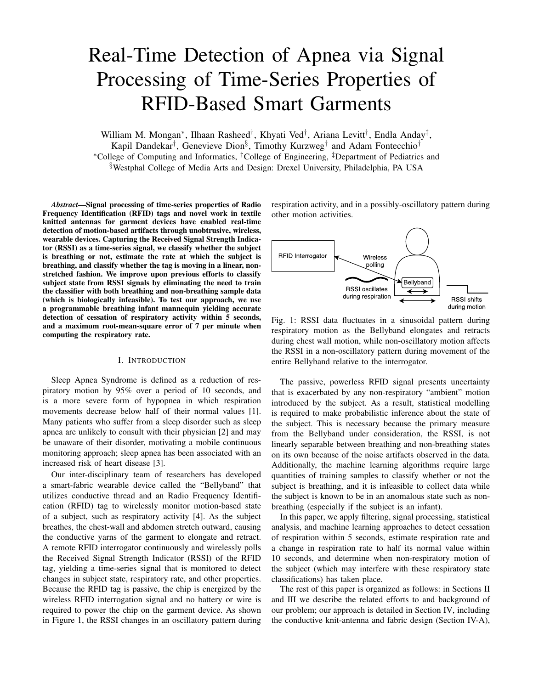# Real-Time Detection of Apnea via Signal Processing of Time-Series Properties of RFID-Based Smart Garments

William M. Mongan<sup>∗</sup>, Ilhaan Rasheed<sup>†</sup>, Khyati Ved<sup>†</sup>, Ariana Levitt<sup>†</sup>, Endla Anday<sup>‡</sup>, Kapil Dandekar<sup>†</sup>, Genevieve Dion<sup>§</sup>, Timothy Kurzweg<sup>†</sup> and Adam Fontecchio<sup>†</sup> <sup>∗</sup>College of Computing and Informatics, †College of Engineering, ‡Department of Pediatrics and §Westphal College of Media Arts and Design: Drexel University, Philadelphia, PA USA

*Abstract*—Signal processing of time-series properties of Radio Frequency Identification (RFID) tags and novel work in textile knitted antennas for garment devices have enabled real-time detection of motion-based artifacts through unobtrusive, wireless, wearable devices. Capturing the Received Signal Strength Indicator (RSSI) as a time-series signal, we classify whether the subject is breathing or not, estimate the rate at which the subject is breathing, and classify whether the tag is moving in a linear, nonstretched fashion. We improve upon previous efforts to classify subject state from RSSI signals by eliminating the need to train the classifier with both breathing and non-breathing sample data (which is biologically infeasible). To test our approach, we use a programmable breathing infant mannequin yielding accurate detection of cessation of respiratory activity within 5 seconds, and a maximum root-mean-square error of 7 per minute when computing the respiratory rate.

#### I. INTRODUCTION

Sleep Apnea Syndrome is defined as a reduction of respiratory motion by 95% over a period of 10 seconds, and is a more severe form of hypopnea in which respiration movements decrease below half of their normal values [1]. Many patients who suffer from a sleep disorder such as sleep apnea are unlikely to consult with their physician [2] and may be unaware of their disorder, motivating a mobile continuous monitoring approach; sleep apnea has been associated with an increased risk of heart disease [3].

Our inter-disciplinary team of researchers has developed a smart-fabric wearable device called the "Bellyband" that utilizes conductive thread and an Radio Frequency Identification (RFID) tag to wirelessly monitor motion-based state of a subject, such as respiratory activity [4]. As the subject breathes, the chest-wall and abdomen stretch outward, causing the conductive yarns of the garment to elongate and retract. A remote RFID interrogator continuously and wirelessly polls the Received Signal Strength Indicator (RSSI) of the RFID tag, yielding a time-series signal that is monitored to detect changes in subject state, respiratory rate, and other properties. Because the RFID tag is passive, the chip is energized by the wireless RFID interrogation signal and no battery or wire is required to power the chip on the garment device. As shown in Figure 1, the RSSI changes in an oscillatory pattern during

respiration activity, and in a possibly-oscillatory pattern during other motion activities.



Fig. 1: RSSI data fluctuates in a sinusoidal pattern during respiratory motion as the Bellyband elongates and retracts during chest wall motion, while non-oscillatory motion affects the RSSI in a non-oscillatory pattern during movement of the entire Bellyband relative to the interrogator.

The passive, powerless RFID signal presents uncertainty that is exacerbated by any non-respiratory "ambient" motion introduced by the subject. As a result, statistical modelling is required to make probabilistic inference about the state of the subject. This is necessary because the primary measure from the Bellyband under consideration, the RSSI, is not linearly separable between breathing and non-breathing states on its own because of the noise artifacts observed in the data. Additionally, the machine learning algorithms require large quantities of training samples to classify whether or not the subject is breathing, and it is infeasible to collect data while the subject is known to be in an anomalous state such as nonbreathing (especially if the subject is an infant).

In this paper, we apply filtering, signal processing, statistical analysis, and machine learning approaches to detect cessation of respiration within 5 seconds, estimate respiration rate and a change in respiration rate to half its normal value within 10 seconds, and determine when non-respiratory motion of the subject (which may interfere with these respiratory state classifications) has taken place.

The rest of this paper is organized as follows: in Sections II and III we describe the related efforts to and background of our problem; our approach is detailed in Section IV, including the conductive knit-antenna and fabric design (Section IV-A),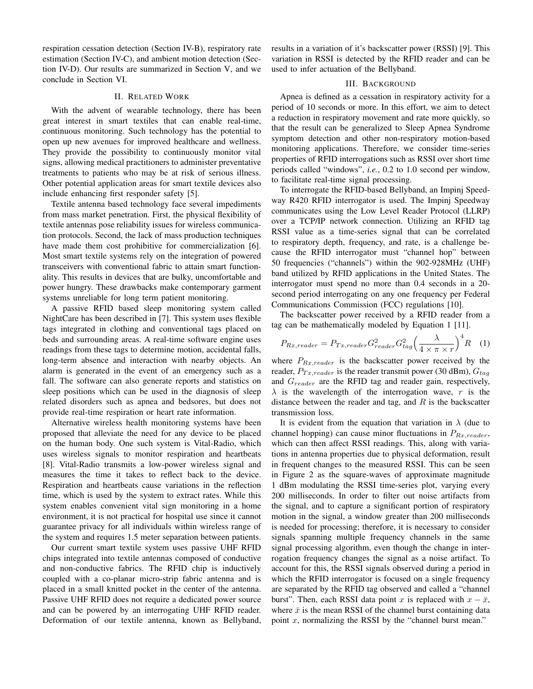respiration cessation detection (Section IV-B), respiratory rate estimation (Section IV-C), and ambient motion detection (Section IV-D). Our results are summarized in Section V, and we conclude in Section VI.

## II. RELATED WORK

With the advent of wearable technology, there has been great interest in smart textiles that can enable real-time, continuous monitoring. Such technology has the potential to open up new avenues for improved healthcare and wellness. They provide the possibility to continuously monitor vital signs, allowing medical practitioners to administer preventative treatments to patients who may be at risk of serious illness. Other potential application areas for smart textile devices also include enhancing first responder safety [5].

Textile antenna based technology face several impediments from mass market penetration. First, the physical flexibility of textile antennas pose reliability issues for wireless communication protocols. Second, the lack of mass production techniques have made them cost prohibitive for commercialization [6]. Most smart textile systems rely on the integration of powered transceivers with conventional fabric to attain smart functionality. This results in devices that are bulky, uncomfortable and power hungry. These drawbacks make contemporary garment systems unreliable for long term patient monitoring.

A passive RFID based sleep monitoring system called NightCare has been described in [7]. This system uses flexible tags integrated in clothing and conventional tags placed on beds and surrounding areas. A real-time software engine uses readings from these tags to determine motion, accidental falls, long-term absence and interaction with nearby objects. An alarm is generated in the event of an emergency such as a fall. The software can also generate reports and statistics on sleep positions which can be used in the diagnosis of sleep related disorders such as apnea and bedsores, but does not provide real-time respiration or heart rate information.

Alternative wireless health monitoring systems have been proposed that alleviate the need for any device to be placed on the human body. One such system is Vital-Radio, which uses wireless signals to monitor respiration and heartbeats [8]. Vital-Radio transmits a low-power wireless signal and measures the time it takes to reflect back to the device. Respiration and heartbeats cause variations in the reflection time, which is used by the system to extract rates. While this system enables convenient vital sign monitoring in a home environment, it is not practical for hospital use since it cannot guarantee privacy for all individuals within wireless range of the system and requires 1.5 meter separation between patients.

Our current smart textile system uses passive UHF RFID chips integrated into textile antennas composed of conductive and non-conductive fabrics. The RFID chip is inductively coupled with a co-planar micro-strip fabric antenna and is placed in a small knitted pocket in the center of the antenna. Passive UHF RFID does not require a dedicated power source and can be powered by an interrogating UHF RFID reader. Deformation of our textile antenna, known as Bellyband, results in a variation of it's backscatter power (RSSI) [9]. This variation in RSSI is detected by the RFID reader and can be used to infer actuation of the Bellyband.

#### III. BACKGROUND

Apnea is defined as a cessation in respiratory activity for a period of 10 seconds or more. In this effort, we aim to detect a reduction in respiratory movement and rate more quickly, so that the result can be generalized to Sleep Apnea Syndrome symptom detection and other non-respiratory motion-based monitoring applications. Therefore, we consider time-series properties of RFID interrogations such as RSSI over short time periods called "windows", *i.e.*, 0.2 to 1.0 second per window, to facilitate real-time signal processing.

To interrogate the RFID-based Bellyband, an Impinj Speedway R420 RFID interrogator is used. The Impinj Speedway communicates using the Low Level Reader Protocol (LLRP) over a TCP/IP network connection. Utilizing an RFID tag RSSI value as a time-series signal that can be correlated to respiratory depth, frequency, and rate, is a challenge because the RFID interrogator must "channel hop" between 50 frequencies ("channels") within the 902-928MHz (UHF) band utilized by RFID applications in the United States. The interrogator must spend no more than 0.4 seconds in a 20 second period interrogating on any one frequency per Federal Communications Commission (FCC) regulations [10].

The backscatter power received by a RFID reader from a tag can be mathematically modeled by Equation 1 [11].

$$
P_{Rx, reader} = P_{Tx, reader} G_{reader}^2 G_{tag} \left(\frac{\lambda}{4 \times \pi \times r}\right)^4 R \quad (1)
$$

where  $P_{Rx, reader}$  is the backscatter power received by the reader,  $P_{Tx, reader}$  is the reader transmit power (30 dBm),  $G_{tag}$ and  $G_{reader}$  are the RFID tag and reader gain, respectively,  $\lambda$  is the wavelength of the interrogation wave, r is the distance between the reader and tag, and  $R$  is the backscatter transmission loss.

It is evident from the equation that variation in  $\lambda$  (due to channel hopping) can cause minor fluctuations in  $P_{Rx, reader}$ , which can then affect RSSI readings. This, along with variations in antenna properties due to physical deformation, result in frequent changes to the measured RSSI. This can be seen in Figure 2 as the square-waves of approximate magnitude 1 dBm modulating the RSSI time-series plot, varying every 200 milliseconds. In order to filter out noise artifacts from the signal, and to capture a significant portion of respiratory motion in the signal, a window greater than 200 milliseconds is needed for processing; therefore, it is necessary to consider signals spanning multiple frequency channels in the same signal processing algorithm, even though the change in interrogation frequency changes the signal as a noise artifact. To account for this, the RSSI signals observed during a period in which the RFID interrogator is focused on a single frequency are separated by the RFID tag observed and called a "channel burst". Then, each RSSI data point x is replaced with  $x - \bar{x}$ , where  $\bar{x}$  is the mean RSSI of the channel burst containing data point  $x$ , normalizing the RSSI by the "channel burst mean."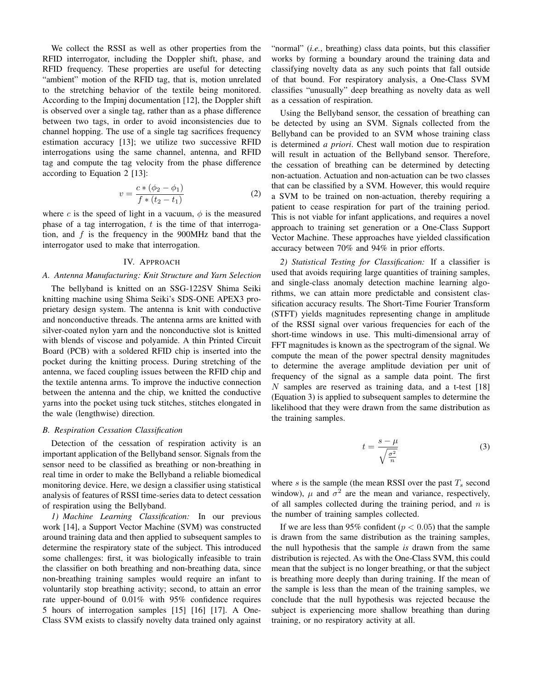We collect the RSSI as well as other properties from the RFID interrogator, including the Doppler shift, phase, and RFID frequency. These properties are useful for detecting "ambient" motion of the RFID tag, that is, motion unrelated to the stretching behavior of the textile being monitored. According to the Impinj documentation [12], the Doppler shift is observed over a single tag, rather than as a phase difference between two tags, in order to avoid inconsistencies due to channel hopping. The use of a single tag sacrifices frequency estimation accuracy [13]; we utilize two successive RFID interrogations using the same channel, antenna, and RFID tag and compute the tag velocity from the phase difference according to Equation 2 [13]:

$$
v = \frac{c * (\phi_2 - \phi_1)}{f * (t_2 - t_1)}
$$
 (2)

where c is the speed of light in a vacuum,  $\phi$  is the measured phase of a tag interrogation,  $t$  is the time of that interrogation, and  $f$  is the frequency in the 900MHz band that the interrogator used to make that interrogation.

#### IV. APPROACH

#### *A. Antenna Manufacturing: Knit Structure and Yarn Selection*

The bellyband is knitted on an SSG-122SV Shima Seiki knitting machine using Shima Seiki's SDS-ONE APEX3 proprietary design system. The antenna is knit with conductive and nonconductive threads. The antenna arms are knitted with silver-coated nylon yarn and the nonconductive slot is knitted with blends of viscose and polyamide. A thin Printed Circuit Board (PCB) with a soldered RFID chip is inserted into the pocket during the knitting process. During stretching of the antenna, we faced coupling issues between the RFID chip and the textile antenna arms. To improve the inductive connection between the antenna and the chip, we knitted the conductive yarns into the pocket using tuck stitches, stitches elongated in the wale (lengthwise) direction.

#### *B. Respiration Cessation Classification*

Detection of the cessation of respiration activity is an important application of the Bellyband sensor. Signals from the sensor need to be classified as breathing or non-breathing in real time in order to make the Bellyband a reliable biomedical monitoring device. Here, we design a classifier using statistical analysis of features of RSSI time-series data to detect cessation of respiration using the Bellyband.

*1) Machine Learning Classification:* In our previous work [14], a Support Vector Machine (SVM) was constructed around training data and then applied to subsequent samples to determine the respiratory state of the subject. This introduced some challenges: first, it was biologically infeasible to train the classifier on both breathing and non-breathing data, since non-breathing training samples would require an infant to voluntarily stop breathing activity; second, to attain an error rate upper-bound of 0.01% with 95% confidence requires 5 hours of interrogation samples [15] [16] [17]. A One-Class SVM exists to classify novelty data trained only against

"normal" (*i.e.*, breathing) class data points, but this classifier works by forming a boundary around the training data and classifying novelty data as any such points that fall outside of that bound. For respiratory analysis, a One-Class SVM classifies "unusually" deep breathing as novelty data as well as a cessation of respiration.

Using the Bellyband sensor, the cessation of breathing can be detected by using an SVM. Signals collected from the Bellyband can be provided to an SVM whose training class is determined *a priori*. Chest wall motion due to respiration will result in actuation of the Bellyband sensor. Therefore, the cessation of breathing can be determined by detecting non-actuation. Actuation and non-actuation can be two classes that can be classified by a SVM. However, this would require a SVM to be trained on non-actuation, thereby requiring a patient to cease respiration for part of the training period. This is not viable for infant applications, and requires a novel approach to training set generation or a One-Class Support Vector Machine. These approaches have yielded classification accuracy between 70% and 94% in prior efforts.

*2) Statistical Testing for Classification:* If a classifier is used that avoids requiring large quantities of training samples, and single-class anomaly detection machine learning algorithms, we can attain more predictable and consistent classification accuracy results. The Short-Time Fourier Transform (STFT) yields magnitudes representing change in amplitude of the RSSI signal over various frequencies for each of the short-time windows in use. This multi-dimensional array of FFT magnitudes is known as the spectrogram of the signal. We compute the mean of the power spectral density magnitudes to determine the average amplitude deviation per unit of frequency of the signal as a sample data point. The first  $N$  samples are reserved as training data, and a t-test [18] (Equation 3) is applied to subsequent samples to determine the likelihood that they were drawn from the same distribution as the training samples.

$$
t = \frac{s - \mu}{\sqrt{\frac{\sigma^2}{n}}}
$$
 (3)

where  $s$  is the sample (the mean RSSI over the past  $T_s$  second window),  $\mu$  and  $\sigma^2$  are the mean and variance, respectively, of all samples collected during the training period, and  $n$  is the number of training samples collected.

If we are less than 95% confident ( $p < 0.05$ ) that the sample is drawn from the same distribution as the training samples, the null hypothesis that the sample *is* drawn from the same distribution is rejected. As with the One-Class SVM, this could mean that the subject is no longer breathing, or that the subject is breathing more deeply than during training. If the mean of the sample is less than the mean of the training samples, we conclude that the null hypothesis was rejected because the subject is experiencing more shallow breathing than during training, or no respiratory activity at all.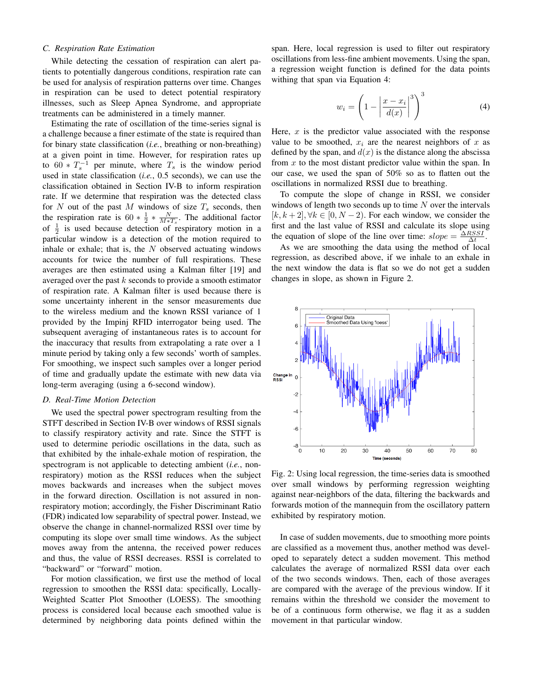## *C. Respiration Rate Estimation*

While detecting the cessation of respiration can alert patients to potentially dangerous conditions, respiration rate can be used for analysis of respiration patterns over time. Changes in respiration can be used to detect potential respiratory illnesses, such as Sleep Apnea Syndrome, and appropriate treatments can be administered in a timely manner.

Estimating the rate of oscillation of the time-series signal is a challenge because a finer estimate of the state is required than for binary state classification (*i.e.*, breathing or non-breathing) at a given point in time. However, for respiration rates up to  $60 * T_s^{-1}$  per minute, where  $T_s$  is the window period used in state classification (*i.e.*, 0.5 seconds), we can use the classification obtained in Section IV-B to inform respiration rate. If we determine that respiration was the detected class for  $N$  out of the past  $M$  windows of size  $T_s$  seconds, then the respiration rate is  $60 * \frac{1}{2} * \frac{N}{M*T_s}$ . The additional factor of  $\frac{1}{2}$  is used because detection of respiratory motion in a particular window is a detection of the motion required to inhale or exhale; that is, the  $N$  observed actuating windows accounts for twice the number of full respirations. These averages are then estimated using a Kalman filter [19] and averaged over the past k seconds to provide a smooth estimator of respiration rate. A Kalman filter is used because there is some uncertainty inherent in the sensor measurements due to the wireless medium and the known RSSI variance of 1 provided by the Impinj RFID interrogator being used. The subsequent averaging of instantaneous rates is to account for the inaccuracy that results from extrapolating a rate over a 1 minute period by taking only a few seconds' worth of samples. For smoothing, we inspect such samples over a longer period of time and gradually update the estimate with new data via long-term averaging (using a 6-second window).

#### *D. Real-Time Motion Detection*

We used the spectral power spectrogram resulting from the STFT described in Section IV-B over windows of RSSI signals to classify respiratory activity and rate. Since the STFT is used to determine periodic oscillations in the data, such as that exhibited by the inhale-exhale motion of respiration, the spectrogram is not applicable to detecting ambient (*i.e.*, nonrespiratory) motion as the RSSI reduces when the subject moves backwards and increases when the subject moves in the forward direction. Oscillation is not assured in nonrespiratory motion; accordingly, the Fisher Discriminant Ratio (FDR) indicated low separability of spectral power. Instead, we observe the change in channel-normalized RSSI over time by computing its slope over small time windows. As the subject moves away from the antenna, the received power reduces and thus, the value of RSSI decreases. RSSI is correlated to "backward" or "forward" motion.

For motion classification, we first use the method of local regression to smoothen the RSSI data: specifically, Locally-Weighted Scatter Plot Smoother (LOESS). The smoothing process is considered local because each smoothed value is determined by neighboring data points defined within the

span. Here, local regression is used to filter out respiratory oscillations from less-fine ambient movements. Using the span, a regression weight function is defined for the data points withing that span via Equation 4:

$$
w_i = \left(1 - \left|\frac{x - x_i}{d(x)}\right|^3\right)^3\tag{4}
$$

Here,  $x$  is the predictor value associated with the response value to be smoothed,  $x_i$  are the nearest neighbors of x as defined by the span, and  $d(x)$  is the distance along the abscissa from  $x$  to the most distant predictor value within the span. In our case, we used the span of 50% so as to flatten out the oscillations in normalized RSSI due to breathing.

To compute the slope of change in RSSI, we consider windows of length two seconds up to time  $N$  over the intervals  $[k, k+2], \forall k \in [0, N-2)$ . For each window, we consider the first and the last value of RSSI and calculate its slope using the equation of slope of the line over time:  $slope = \frac{\Delta RSSI}{\Delta t}$ .

As we are smoothing the data using the method of local regression, as described above, if we inhale to an exhale in the next window the data is flat so we do not get a sudden changes in slope, as shown in Figure 2.



Fig. 2: Using local regression, the time-series data is smoothed over small windows by performing regression weighting against near-neighbors of the data, filtering the backwards and forwards motion of the mannequin from the oscillatory pattern exhibited by respiratory motion.

In case of sudden movements, due to smoothing more points are classified as a movement thus, another method was developed to separately detect a sudden movement. This method calculates the average of normalized RSSI data over each of the two seconds windows. Then, each of those averages are compared with the average of the previous window. If it remains within the threshold we consider the movement to be of a continuous form otherwise, we flag it as a sudden movement in that particular window.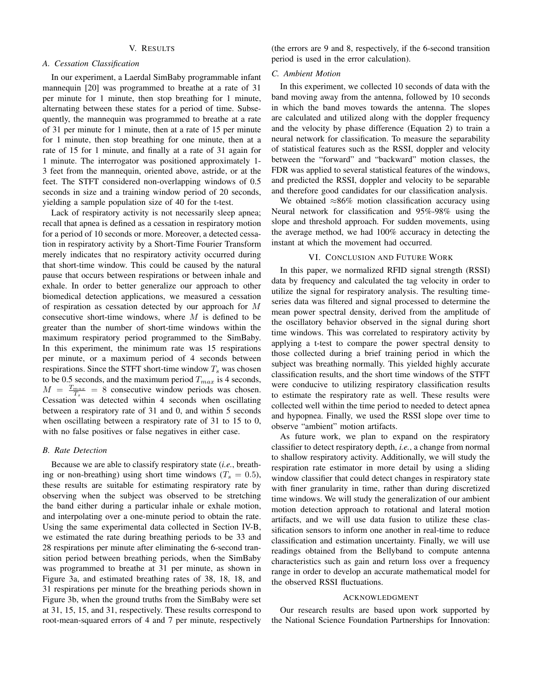## V. RESULTS

#### *A. Cessation Classification*

In our experiment, a Laerdal SimBaby programmable infant mannequin [20] was programmed to breathe at a rate of 31 per minute for 1 minute, then stop breathing for 1 minute, alternating between these states for a period of time. Subsequently, the mannequin was programmed to breathe at a rate of 31 per minute for 1 minute, then at a rate of 15 per minute for 1 minute, then stop breathing for one minute, then at a rate of 15 for 1 minute, and finally at a rate of 31 again for 1 minute. The interrogator was positioned approximately 1- 3 feet from the mannequin, oriented above, astride, or at the feet. The STFT considered non-overlapping windows of 0.5 seconds in size and a training window period of 20 seconds, yielding a sample population size of 40 for the t-test.

Lack of respiratory activity is not necessarily sleep apnea; recall that apnea is defined as a cessation in respiratory motion for a period of 10 seconds or more. Moreover, a detected cessation in respiratory activity by a Short-Time Fourier Transform merely indicates that no respiratory activity occurred during that short-time window. This could be caused by the natural pause that occurs between respirations or between inhale and exhale. In order to better generalize our approach to other biomedical detection applications, we measured a cessation of respiration as cessation detected by our approach for M consecutive short-time windows, where  $M$  is defined to be greater than the number of short-time windows within the maximum respiratory period programmed to the SimBaby. In this experiment, the minimum rate was 15 respirations per minute, or a maximum period of 4 seconds between respirations. Since the STFT short-time window  $T_s$  was chosen to be 0.5 seconds, and the maximum period  $T_{max}$  is 4 seconds,  $M = \frac{T_{max}}{T_s} = 8$  consecutive window periods was chosen. Cessation was detected within 4 seconds when oscillating between a respiratory rate of 31 and 0, and within 5 seconds when oscillating between a respiratory rate of 31 to 15 to 0, with no false positives or false negatives in either case.

## *B. Rate Detection*

Because we are able to classify respiratory state (*i.e.*, breathing or non-breathing) using short time windows ( $T_s = 0.5$ ), these results are suitable for estimating respiratory rate by observing when the subject was observed to be stretching the band either during a particular inhale or exhale motion, and interpolating over a one-minute period to obtain the rate. Using the same experimental data collected in Section IV-B, we estimated the rate during breathing periods to be 33 and 28 respirations per minute after eliminating the 6-second transition period between breathing periods, when the SimBaby was programmed to breathe at 31 per minute, as shown in Figure 3a, and estimated breathing rates of 38, 18, 18, and 31 respirations per minute for the breathing periods shown in Figure 3b, when the ground truths from the SimBaby were set at 31, 15, 15, and 31, respectively. These results correspond to root-mean-squared errors of 4 and 7 per minute, respectively (the errors are 9 and 8, respectively, if the 6-second transition period is used in the error calculation).

#### *C. Ambient Motion*

In this experiment, we collected 10 seconds of data with the band moving away from the antenna, followed by 10 seconds in which the band moves towards the antenna. The slopes are calculated and utilized along with the doppler frequency and the velocity by phase difference (Equation 2) to train a neural network for classification. To measure the separability of statistical features such as the RSSI, doppler and velocity between the "forward" and "backward" motion classes, the FDR was applied to several statistical features of the windows, and predicted the RSSI, doppler and velocity to be separable and therefore good candidates for our classification analysis.

We obtained ≈86% motion classification accuracy using Neural network for classification and 95%-98% using the slope and threshold approach. For sudden movements, using the average method, we had 100% accuracy in detecting the instant at which the movement had occurred.

## VI. CONCLUSION AND FUTURE WORK

In this paper, we normalized RFID signal strength (RSSI) data by frequency and calculated the tag velocity in order to utilize the signal for respiratory analysis. The resulting timeseries data was filtered and signal processed to determine the mean power spectral density, derived from the amplitude of the oscillatory behavior observed in the signal during short time windows. This was correlated to respiratory activity by applying a t-test to compare the power spectral density to those collected during a brief training period in which the subject was breathing normally. This yielded highly accurate classification results, and the short time windows of the STFT were conducive to utilizing respiratory classification results to estimate the respiratory rate as well. These results were collected well within the time period to needed to detect apnea and hypopnea. Finally, we used the RSSI slope over time to observe "ambient" motion artifacts.

As future work, we plan to expand on the respiratory classifier to detect respiratory depth, *i.e.*, a change from normal to shallow respiratory activity. Additionally, we will study the respiration rate estimator in more detail by using a sliding window classifier that could detect changes in respiratory state with finer granularity in time, rather than during discretized time windows. We will study the generalization of our ambient motion detection approach to rotational and lateral motion artifacts, and we will use data fusion to utilize these classification sensors to inform one another in real-time to reduce classification and estimation uncertainty. Finally, we will use readings obtained from the Bellyband to compute antenna characteristics such as gain and return loss over a frequency range in order to develop an accurate mathematical model for the observed RSSI fluctuations.

### ACKNOWLEDGMENT

Our research results are based upon work supported by the National Science Foundation Partnerships for Innovation: